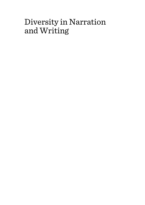# Diversity in Narration and Writing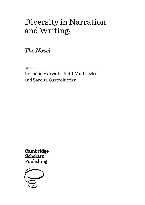# Diversity in Narration and Writing:

*The Novel*

Edited by

Kornélia Horváth, Judit Mudriczki and Sarolta Osztroluczky

Cambridge **Scholars** Publishing

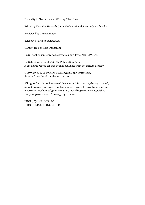Diversity in Narration and Writing: The Novel

Edited by Kornélia Horváth, Judit Mudriczki and Sarolta Osztroluczky

Reviewed by Tamás Bényei

This book first published 2022

Cambridge Scholars Publishing

Lady Stephenson Library, Newcastle upon Tyne, NE6 2PA, UK

British Library Cataloguing in Publication Data A catalogue record for this book is available from the British Library

Copyright © 2022 by Kornélia Horváth, Judit Mudriczki, Sarolta Osztroluczky and contributors

All rights for this book reserved. No part of this book may be reproduced, stored in a retrieval system, or transmitted, in any form or by any means, electronic, mechanical, photocopying, recording or otherwise, without the prior permission of the copyright owner.

ISBN (10): 1-5275-7716-3 ISBN (13): 978-1-5275-7716-9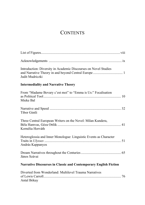# **CONTENTS**

| Introduction: Diversity in Academic Discourses on Novel Studies<br>Judit Mudriczki    |
|---------------------------------------------------------------------------------------|
| <b>Intermediality and Narrative Theory</b>                                            |
| From "Madame Bovary c'est moi" to "Emma is Us:" Focalisation<br>Mieke Bal             |
| Tibor Gintli                                                                          |
| Three Central European Writers on the Novel: Milan Kundera,<br>Kornélia Horváth       |
| Heteroglossia and Inner Monologue: Linguistic Events as Character<br>András Kappanyos |
| János Szávai                                                                          |
| <b>Narrative Discourses in Classic and Contemporary English Fiction</b>               |
| Diverted from Wonderland: Multilevel Trauma Narratives<br>Antal Bókay                 |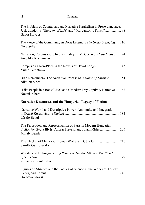### vi Contents

| The Problem of Counterpart and Narrative Parallelism in Prose Language:<br>Jack London's "The Law of Life" and "Morganson's Finish" 98<br>Gábor Kovács |
|--------------------------------------------------------------------------------------------------------------------------------------------------------|
| The Voice of the Community in Doris Lessing's The Grass is Singing 110<br>Nóra Séllei                                                                  |
| Narration, Colonisation, Intertextuality: J. M. Coetzee's Dusklands  124<br>Angelika Reichmann                                                         |
| Campus as a Non-Place in the Novels of David Lodge 143<br>Yuliia Terentieva                                                                            |
| Bran Remembers: The Narrative Process of A Game of Thrones 154<br>Nikolett Sipos                                                                       |
| "Like People in a Book:" Jack and a Modern-Day Captivity Narrative 167<br>Noémi Albert                                                                 |
| Narrative Discourses and the Hungarian Legacy of Fiction                                                                                               |
| Narrative World and Descriptive Power: Ambiguity and Integration<br>László Bengi                                                                       |
| The Perception and Representation of Paris in Modern Hungarian<br>Fiction by Gyula Illyés, András Hevesi, and Jolán Földes  205<br>Mihály Benda        |
| The Thicket of Memory: Thomas Wolfe and Géza Ottlik  216<br>Sarolta Osztroluczky                                                                       |
|                                                                                                                                                        |
| Wonders of Telling-Telling Wonders: Sándor Márai's The Blood<br>Zoltán Kulcsár-Szabó                                                                   |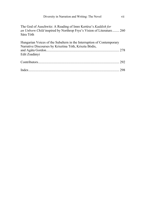| Diversity in Narration and Writing: The Novel                                                                                                      | vii |
|----------------------------------------------------------------------------------------------------------------------------------------------------|-----|
| The God of Auschwitz: A Reading of Imre Kertész's Kaddish for<br>an Unborn Child inspired by Northrop Frye's Vision of Literature 260<br>Sára Tóth |     |
| Hungarian Voices of the Subaltern in the Interruption of Contemporary<br>Narrative Discourses by Krisztina Tóth, Kriszta Bódis,<br>Edit Zsadányi   |     |
|                                                                                                                                                    |     |
|                                                                                                                                                    |     |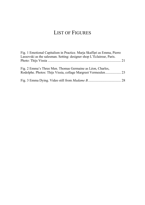# LIST OF FIGURES

| Fig. 1 Emotional Capitalism in Practice. Marja Skaffari as Emma, Pierre |  |
|-------------------------------------------------------------------------|--|
| Lassovski as the salesman. Setting: designer shop L'Éclaireur, Paris.   |  |
|                                                                         |  |
| Fig. 2 Emma's Three Men. Thomas Germaine as Léon, Charles,              |  |
|                                                                         |  |
|                                                                         |  |
|                                                                         |  |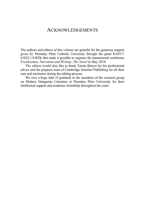# ACKNOWLEDGEMENTS

The authors and editors of this volume are grateful for the generous support given by Pázmány Péter Catholic University through the grant KAP17- 61022-1.9-BTK that made it possible to organise the international conference *Focalisation, Narration and Writing: The Novel* in May 2018.

The editors would also like to thank Tamás Bényei for his professional advice and the prepress team of Cambridge Scholars Publishing for all their care and assistance during the editing process.

We owe a huge debt of gratitude to the members of the research group on Modern Hungarian Literature at Pázmány Péter University for their intellectual support and academic friendship throughout the years.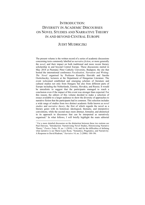# INTRODUCTION: DIVERSITY IN ACADEMIC DISCOURSES ON NOVEL STUDIES AND NARRATIVE THEORY IN AND BEYOND CENTRAL EUROPE

# JUDIT MUDRICZKI

The present volume is the written record of a series of academic discussions concerning texts commonly labelled as *narrative fiction*, or more generally the *novel*, and their impact on both traditional and more recent literary scholarship in and beyond Central Europe. These discussions started in May 2018 at Pázmány Péter Catholic University, Budapest, the site that hosted the international conference *Focalisation, Narration and Writing: The Novel* organised by Professor Kornélia Horváth and Sarolta Osztroluczky, lecturers at the Department of Hungarian Literature. The event welcomed established and emerging scholars of literature and cultural studies not only from Hungary but also from different parts of Europe including the Netherlands, Estonia, Slovakia, and Russia. It would be unrealistic to suggest that the participants managed to reach a conclusion even if the impact of this event was stronger than expected. For this reason, the editors of this volume decided to make a selection of essays available to a larger audience to show the diversity of approaches to narrative fiction that the participants had in common. This selection includes a wide range of studies from two distinct academic fields known as *novel studies* and *narrative theory*, the first of which regards the novel as a literary genre with its historical, ideological, thematic, and interpretive conventions, while the second stays more abstract, formalist, and ahistorical in its approach to discourses that can be interpreted as narratively organised.<sup>1</sup> In what follows, I will briefly highlight the main editorial

 $1$  For a more detailed discussion on the distinction between these two notions see Paul Dawson, "Introduction: Narrativizing Novel Studies, Historicizing Narrative Theory," *Poetics Today* 39, no. 1 (2018): 1-16; and for the difficulties of defining what narrative is see Marie-Laure Ryan, "Semantics, Pragmatics, and Narrativity: A Response to David Rudrum," *Narrative* 14, no. 2 (2006): 188-196.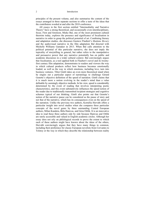### 2 Introduction

principles of the present volume, and also summarise the content of the essays arranged in three separate sections to offer a taste of the ideas that the contributors worded at and after the 2018 conference.

All essays in the first section entitled "Intermediality and Narrative Theory" have a strong theoretical, and occasionally even interdisciplinary, focus. First and foremost, Mieke Bal, one of the most prominent cultural theorists today, explores the presence and significance of focalisation in narrative in order to grasp the political potential of art. Combining literary and adaptation studies, she discusses Gustave Flaubert's *Madame Bovary*  and the audiovisual narrative in the film adaptation Bal directed with Michelle Williams Gamaker in 2013. When Bal calls attention to the political potential of this particular narrative, she does not imply the topicality of storytelling in general, but rather refers to the manipulative and persuasive power that any narrative potentially has on public and academic discourses in a wider cultural context. Bal convincingly argues that focalisation, as a tool applied both in Flaubert's novel and its twentyfirst century film adaptation, demonstrates to readers and viewers the way in which cultural products reflect how business becomes emotionally loaded, as well as the way in which emotions, including love, turn into business ventures. Tibor Gintli takes an even more theoretical stand when he singles out a particular aspect of narratology to challenge Gérard Genette's objective definition of the speed of narration. Gintli claims that it is much more a notion evolving in the reader's mind than a value definable by seemingly objective methods. In his view, speed is considerably determined by the event of reading that involves interpreting poetic characteristics, and this event substantively influences the speed notion of the reader due to traditionally transmitted recipient strategies and cognitive schemes typical of our thinking. Gintli also points out that Genette's notion of the narrative pause can be considered as the pause of story and not that of the narrative, which has its consequences even on the speed of the narration. Unlike the previous two authors, Kornélia Horváth offers a particular insight into novel studies when she compares three particular concepts of the novel genre by three outstanding Central European authors, Milan Kundera, Béla Hamvas, and Géza Ottlik. It is an innovative idea to read these three authors side by side because Hamvas and Ottlik are rarely accessible and valued in English academic circles. Although her essay does not rely on philological records to prove the extent to which each of these authors might have known about the ideas of the others, Horváth convincingly argues that they have many things in common, including their preference for classic European novelists from Cervantes to Tolstoy or the way in which they describe the relationship between reality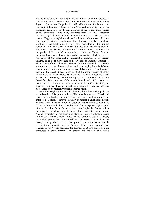### Judit Mudriczki 3

and the world of fiction. Focusing on the Bakhtinian notion of heteroglossia, András Kappanyos benefits from his experiences of retranslating James Joyce's *Ulysses* into Hungarian in 2012 with a team of scholars, who realised that the most challenging part of this work was to find the proper Hungarian counterpart for the representation of the several (inner) voices of the characters. Citing many examples from the 1974 Hungarian translation by Miklós Szentkuthy to show the contrast to their own 2012 version, Kappanyos explains, on behalf of the team of translators, that they had a strongly interpretive attitude instead of focusing simply on the direct wording of the English novel. Only after reconstructing the implied context of each and every utterance did they start rewording them in Hungarian. The detailed discussion of these examples highlights the interpretive difficulties of the narrative structure in *Ulysses* from an interdisciplinary as well as an intermedial perspective, which becomes a real virtue of the paper and a significant contribution to the present volume. To add one more shade to the diversity of academic approaches, János Szávai offers a historical overview of the representation of dreams and visions in various literate cultures and texts ranging from the Bible to contemporary Hungarian narrative fiction. Relying on György Lukács's theory of the novel, Szávai points out that European classics of realist fiction were not much interested in dreams. The only exception, Szávai argues, is Dostoevsky, whose description and references to Claude Lorrain's painting *Acis and Galatea* show how the role of dreams, as the manifestation of truth of a higher order in the Judeo-Christian tradition, changed in nineteenth century narratives of fiction, a legacy that was later also carried on by Marcel Proust and Thomas Mann.

Instead of staying on a strongly theoretical and intermedial path, the second section of the present volume, "Narrative Discourses in Classic and Contemporary English Fiction," offers seven case studies, arranged in chronological order, of renowned authors of modern English prose fiction. The first in the line is Antal Bókay's study on trauma narratives both in the Alice novels and in the life of Lewis Carroll from a psychoanalytical point of view. Based on Freud, Ferenczi, Lacan, and Laplanche, Bókay defines trauma as a personal and intricately deconstructive narrative with a special "poetic" character that preserves a constant, but hardly available presence in our self-narration. Bókay finds behind Carroll's oeuvre a deeply traumatised person, the writer himself, who developed a traumatising life history, and produced novels that present and even metonymically represent the traumatic process. With a slightly more narratological leaning, Gábor Kovács addresses the function of objects and descriptive discourses in prose narratives in general, and the role of narrative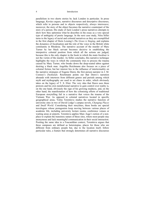### 4 Introduction

parallelism in two shorts stories by Jack London in particular. In prose language, Kovács argues, narrative discourses and descriptive discourses, which refer to persons and to objects respectively, always interweave; moreover, the story of the object becomes the narrative counterpart of the story of a person. His study of Jack London's prose narratives attempts to show how they epitomise what he describes in the essay as a very special type of ambiguity of poetic language. In the next case study, Nóra Séllei turns to the legacy of racial and colonial narratives as they are exemplified in the first chapter of Doris Lessing's *The Grass is Singing*, and explains the dynamics of focalisation and the role of the voice in the British white community in Rhodesia. The narrative account of the murder of Mary Turner by her black servant becomes decisive in establishing the interpretive colonial position from which all the actions are judged, because this is the only chapter in the book in which the main focaliser is not the victim of the murder. As Séllei concludes, this narrative technique highlights the ways in which the community tries to process the trauma caused by Mary Turner, who breaks down the deep-seated taboo against desiring a black man. Angelika Reichmann also focuses on a piece of colonial fiction, but her interest lies in the influence of intertextuality on the narrative strategies of Eugene Dawn, the first person narrator in J. M. Coetzee's *Dusklands.* Reichmann points out that Dawn's narration abounds with intertexts from different genres and periods among which myth and mythography are used to set chaos in order, which obviously takes on the legacy of T. S. Eliot. The very idea that Dawn uses these pretexts and his own metafictional narrative to gain control over reality is, on the one hand, obviously the sign of his growing madness, and, on the other hand, the manifestation of how the colonising efforts of traditional European storytelling fail in a narrative that voices the trauma of the Vietnam War. As opposed to colonial narratives located in specific geographical areas, Yuliia Terentieva studies the narrative function of university sites in two of David Lodge's campus novels, *Changing Places* and *Small World*. Considering their storylines, these books are special travelogues whose protagonists keep moving between various places of academic life, including university lecture rooms, conference venues or waiting areas at airports. Terentieva applies Marc Auge's notion of a nonplace to explain the transitory nature of these sites, where most people stay anonymous and lack meaningful communication in their social interaction. Positing the same idea in a Foucauldian context, Terentieva argues that these campuses are defined as heterotopias, places for those who are different from ordinary people but, due to the location itself, follow particular rules, a feature that strongly determines all narrative discourses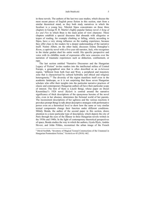### Judit Mudriczki 5

in these novels. The authors of the last two case studies, which discuss the most recent pieces of English prose fiction in this section, start from a similar theoretical stand, as they both study narratives in which the focaliser is a young boy. Nikolett Sípos concentrates on those three chapters in George R. R. Martin's highly popular fantasy novel *A Song of Ice and Fire* in which Bran is the main point of view character. These chapters establish a special discourse that abounds with allegories or tropes of reading, for example climbing or falling, which, according to Sípos, have a very strong influence on the reading experience, because they offer clues to the readers for a deeper understanding of the narrative itself. Noémi Albert, on the other hand, discusses Emma Donoghue's *Room*, a captivity novel with a five-year old narrator, Jack, who recognises in the titular garden shed his entire world. His specific perspective and voice with its childlike mode of expression offer new concerns over the narration of traumatic experiences such as abduction, confinement, or rape.

The last section entitled "Narrative Discourses and the Hungarian Legacy of Fiction" invites readers into the intellectual milieu of Central Europe, a geographical area that is often described as an *in-between* region, "different from both East and West, a peripheral and transitory zone that is characterised by cultural hybridity and ethical and religious heterogeneity."2 The diversity of the region manifests itself even in the academic landscape, so it is not surprising that those seven Hungarian scholars who offer their insights into the particular narrative practices of classic and contemporary Hungarian authors all have their particular scope of interest. The first of them is László Bengi, whose paper on Dezső Kosztolányi's 1924 novel *Skylark* is centred around the narrative significance of thick descriptions of the eponymous heroine of the novel who, even in her absence, determines the fictional world of her parents. The inconsistent descriptions of her ugliness and the various reactions it provokes prompt Bengi to talk about descriptive strategies with performative power even on a theoretical level to show how the same or very similar textual components change their function under different conditions. Mihály Benda, the author of the second paper in this section, draws attention to a more particular type of description, which depicts the city of Paris through the eyes of the flâneur in three Hungarian novels written in the 1930s and 1940s. In the light of contemporary theoretical perspectives of space, Benda studies the way in which the authors, Gyula Illyés, András Hevesi, and Jolán Földes, reconstruct the urban image of the French

<sup>2</sup> Dávid Szolláth, "Inventory of Magical Textual Constructions of the Unnatural in Hungarian Postmodern Fiction," *Neohelicon* 45 (2018): 462.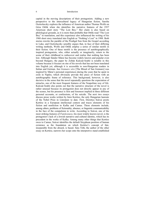### 6 Introduction

capital in the moving descriptions of their protagonists. Adding a new perspective to the intercultural legacy of Hungarian fiction, Sarolta Osztroluczky explores the influence of American author Thomas Wolfe on Géza Ottlik when she identifies the narrative features of the 1937 American short story "The Lost Boy." Her claim is also based on philological grounds, as it is more than probable that Ottlik read "The Lost Boy" in translation, and this experience also influenced the writing of his 1968 short story translated into English as "Nothing's Lost" in 1988. Both stories rewrite the parable of the Prodigal Son from the Gospel according to Luke, and Osztroluczky sensibly argues that, in face of their differing writing methods, Wolfe and Ottlik employ a series of similar motifs in their fiction. One of these motifs is the presence of autobiographically inspired protagonists, who, either actually or imaginarily, return to the scene of their childhood to rediscover and realise that nothing has been lost. Although Sándor Márai has become widely known and popular even beyond Hungary, the paper by Zoltán Kulcsár-Szabó is notable in this volume because it focuses on one of his novels that has not been translated into English yet, although it is accessible to non-Hungarian readers in Italian and German. *San Gennaro vére* [The Blood of San Gennaro] was inspired by Márai's personal experiences during the years that he spent in exile in Naples, which obviously provide this piece of fiction with an autobiographic frame of reference. This background, however, is also decisive in the sense that the novel repeatedly questions the expectation of miracles, one of the most frequent features of the Neapolitan way of life. Kulcsár-Szabó also points out that the narrative structure of the novel is rather unusual because its protagonist does not directly appear in any of the scenes, but his presence is first and foremost implied in three different personal accounts, or confessions, of his suicide. The next two essays discuss prose works written by Imre Kertész, the only Hungarian laureate of the Nobel Prize in Literature to date. First, Dorottya Szávai posits Kertész in a European intellectual context and traces elements of his fiction and nonfiction to Kafka and Camus. These elements include, among others, problems of fictionality, absence, or linguistic communicability in the face of the compulsion to write. According to Szávai, one of the most striking features of *Fatelessness*, his most widely known novel, is the protagonist's lack of a Jewish narrative and cultural identity, which has its precedent in the works of Kafka. Among many other things that Kertész owes to Camus, Szávai identifies the default Sisyphean position of human existence as the foundation on which Kertész's concept of fate, inseparable from the absurd, is based. Sára Tóth, the author of the other essay on Kertész, narrows her scope onto the interpretive stand established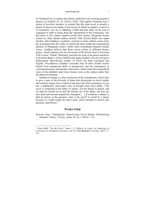### Judit Mudriczki 7

by Northrop Frye to explore the literary symbolism and recurring narrative patterns in *Kaddish for an Unborn Child*. Tóth applies Northrop Frye's notion of *katabatic* narrative to explain that this short novel is actually a drama of descent into death, in the course of which its speaker, a survivor of Auschwitz, says no to fathering a child and thus takes on the role of scapegoat in order to bring about the regeneration of the community. The last essay in the volume explores twenty-first century Hungarian fiction written by three female authors Kriszta Tóth, Kriszta Bódis and Agáta Gordon. Edit Zsadányi's academic curiosity in these authors comes from her assumption that the works on which she relies render the marginalised position of Hungarian writers visible when articulating subaltern female voices. Zsadányi believes that these voices surface in different literary genres, which explains why her discussion of the lyrical voice in Krisztina Tóth's poem "Szálak" [Kinship], precedes her look at the prose narratives in Krisztina Bódis's *Artista* [Artiste] and Agáta Gordon's *Nevelési kisregény* [Educational Mini-Novel], neither of which has been translated into English. Nevertheless, Zsadányi concludes that all these female writers benefit from unexpected shifts of perspectives and the interruption of conventional poetic and narrative discourses, which make the marginalised voice of the subaltern enter these literary texts as the subject rather than the object of narration.

Instead of coming to a firm conclusion of this introduction, which aims to give a taste of the diversity of ideas that discussions on novel studies and narrative theory have evoked at and since the 2018 conference, let me cite a deliberately provocative line of thought from Géza Ottlik: "The novel is composed of the fabric of silence, not the thread of speech, and we must be careful not to pull the threads out of the fabric, lest they get torn apart and become hopelessly entangled […] It would be a shame to find an answer to the question: what is the novel? It would be a shame because we would render the novel itself, which attempts to answer this question, superfluous."3

### **Works Cited**

Dawson, Paul. "Introduction: Narrativizing Novel Studies, Historicizing Narrative Theory." *Poetics Today* 39, no. 1 (2018): 1-16.

<sup>3</sup> Géza Ottlik, "On the Novel," trans. J. E. Sollosy, in *Today. An Anthology of Contemporary Hungarian Literature*, ed. Éva Tóth (Budapest: Corvina, 1987), 77- 78.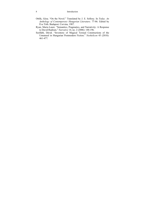### 8 Introduction

- Ottlik, Géza. "On the Novel." Translated by J. E. Sollosy. In *Today. An Anthology of Contemporary Hungarian Literature*. 77-86. Edited by Éva Tóth. Budapest: Corvina, 1987.
- Ryan, Marie-Laure. "Semantics, Pragmatics, and Narrativity: A Response to David Rudrum." *Narrative* 14, no. 2 (2006): 188-196.
- Szolláth, Dávid. "Inventory of Magical Textual Constructions of the Unnatural in Hungarian Postmodern Fiction." *Neohelicon* 45 (2018): 461-477.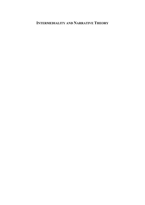# **INTERMEDIALITY AND NARRATIVE THEORY**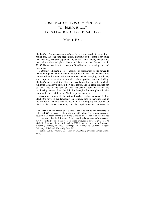# FROM "MADAME BOVARY C'EST MOI" TO "EMMA IS US:" FOCALISATION AS POLITICAL TOOL

# MIEKE BAL

Flaubert's 1856 masterpiece *Madame Bovary* is a novel. It passes for a realist one, the long-time predominant aesthetic of the genre. Subverting that aesthetic, Flaubert deployed it to address, and fiercely critique, his own culture, time and place. How can I then claim that Emma is us, in 2018? The answer is in the concept of focalisation, its meaning, use, and relevance.

I strongly advocate a close analysis of focalisation in its power to manipulate, persuade, and thus, have political power. That power can be understood, and thereby either undermined, when damaging, or enlisted, when supportive in view of a wider cultural political interest. I allege Flaubert's novel, and the film and installation I made with Michelle Williams Gamaker to explain how focalisation and its close analysis can do this. True to the idea of close analysis of both works and the relationship between them, I will do this through a few examples only, five cases, which are visible in the film in response to the novel.<sup>1</sup>

According to one of its best and earliest critics, Jonathan Culler, Flaubert's novel is fundamentally ambiguous, both in narration and in focalisation.2 I contend that the result of that ambiguity transforms our view of the woman character, and the implications of the novel as

<sup>&</sup>lt;sup>1</sup> Although I am the author of this article, but I do not believe authorship is individual. Of the many people in dialogue with whom I have been enabled to develop these ideas, Michelle Williams Gamaker as co-director of the film has been completely involved. I use the first-person singular pronoun only to endorse my responsibility, but please bear in mind everything owes a great deal to Michelle. I wrote this in 2017, and in 2022 it appears in a revised version, differently framed, in *Image-Thinking: Art making as Cultural Analysis.* Edinburgh: Edinburgh University Press 2022.

<sup>2</sup> Jonathan Culler, *Flaubert: The Uses of Uncertainty* (Aurora: Davies Group, 1974).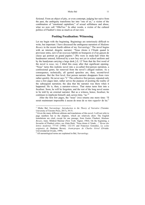#### Mieke Bal 11

fictional. From an object of pity, or even contempt, judging her naive from the past, the ambiguity transforms her into "one of us," a victim of the combination of "emotional capitalism;" of sexual selfishness and abuse, what we now call "#MeToo." In other words, a victim of the cultural politics of Flaubert's time as much as of our own.

## **Positing Focalisation: Witnessing**

Let me begin with the beginning. Beginnings are notoriously difficult to write, but important. I have discussed the ambiguous narration of *Madame Bovary* in the recent fourth edition of my *Narratology*. <sup>3</sup> The novel begins with an internal, diegetic narrator: "Nous étions à l'Etude quand le proviseur entra, suivi d'un *nouveau* habillé en bourgeois et d'un garçon de classe qui portrait un grand pupitre." [We were in study-hall when the headmaster entered, followed by a new boy not yet in school uniform and by the handyman carrying a large desk.]  $(I, 1)^4$  Note that the first word of the novel is *nous*, we. I titled this essay after that significant opening. "Nous" turns this realistic novel into a so-called first-person narration, a confessional genre, far removed from the novel's alleged realism. As a consequence, technically, all quoted speeches are, then, second-level narrations. But the first level, first person narrator disappears from view rather quickly. He never says "I." The collective first person, repeated only once a few pages later, rather serves the purpose of positing the reality of the subsequent narration; the idea that the narrator was there when it happened. He is, then, a narrator-*witness*. That status turns him into a focaliser. Soon, he will be forgotten, and the rest of the long novel seems to be told by an external narrator. But as a witness, hence, focaliser, he continues to implicate himself, and, across time, "us."5

After the first few pages, the "nous" (we) returns one more time: "Il serait maintenant impossible à aucun de nous de se rien *rappeler* de lui."

<sup>3</sup> Mieke Bal, *Narratology: Introduction to the Theory of Narrative* (Toronto: University of Toronto Press, 2017), 39-51.

<sup>4</sup> Given the many different editions and translations of this novel, I will not refer to page numbers but to the chapters, which are relatively short. The English translations are cited, except for one passage, from Gustav Flaubert, *Madame Bovary*, trans. Mildred Marmur (New York: Signet, 1964). On the beginning, a favourite of Flaubert critics, see Alain Raitt, "Nous étions à l'étude…," *Revue des lettres modernes* 777-81 (1986): 132-151 and Francisco González, *La scène originaire de* Madame Bovary. *Avant-propos de Charles Grivel* (Oviedo: Universidad de Oviedo, 1999).

<sup>5</sup> All narratological terms are explained in Bal, *Narratology*.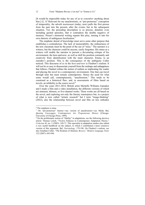[It would be impossible today for any of us to *remember* anything about him.] (I, 1)<sup>6</sup> Relevant for my anachronistic, or "pre-posterous" conception of temporality, the adverb *maintenant* (today, now) pulls the first person from the past into the present, after the events, but in the subsequent situation. Yet, the preceding description is so precise, detailed, even including quoted speeches, that it contradicts the double negative of memory. Proust's memorial writing repeats this ploy, turning it into his own rhetoric of ambiguous focalisation.<sup>7</sup>

The emphatic denial of knowledge must serve some other purpose that establishes a contradiction. The lack of memorability, the ordinariness of the new classmate must be the point of the use of "nous." The narrator is a witness, but the character could be anyone, easily forgotten. His status as a witness will enable the narrator to present a devastating critique of his environment, the here-and-now, as well as shift his position constantly and creatively from identification with the main character, Emma, to an outsider's position. This is the consequence of the ambiguity Culler noticed. This discourse of *us* in the *here-and-now* is Flaubert's realism. It will not be so easy to disassociate yourself from the mishaps and unhappiness that follows. Flaubert refines the notion of realism as implicating the reader and placing the novel in a contemporary environment. One that can travel through time but must remain contemporary. Hence the need for what some would call, contemptuously, "anachronism." This tends to be construed as a historical flaw, and, in assessments of films based on novels, an infidelity to the source novel.8

Over the years 2011-2014, British artist Michelle Williams Gamaker and I made a film and a video installation, the different versions of which are nineteen, thirteen, or five-channel works. These works are all based on the novel, and exploring not only the literary masterpiece but, in a project of what is now called "artistic research" but I term "image-thinking" (2022), also the relationship between novel and film on less orthodox

<sup>&</sup>lt;sup>6</sup> The emphasis is mine.

<sup>7</sup> On "pre-posterous" history―my version of anachronism―see Mieke Bal, *Quoting Caravaggio: Contemporary Art, Preposterous History* (Chicago: University of Chicago Press, 1999).

<sup>8</sup> On the problematic notion of "fidelity" in adaptations, see the following decisive article: Thomas Leitch, "Twelve Fallacies in Contemporary Adaptation Theory," *Criticism* 45, no. 2 (2003): 149-71. This specialist in adaptation studies also edited a very useful handbook on the subject, to which I contributed a more extensive version of this argument, Bal, *Narratology*, 179-196. On Flaubert's realism, see also Jonathan Culler, "The Realism of *Madame Bovary*," *Modern Language Notes* 122 (2007): 683-696.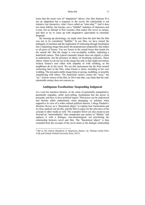#### Mieke Bal 13

terms that the usual view of "adaptation" allows. Our film *Madame B* is not an adaptation but a response to the novel; the relationship is not imitative but interactive, what I have called an "inter-ship."9 And it does not claim fidelity, but loyalty; not a "faithful" imitation of characters and events, but an attempt to first examine what makes this novel so unique, and then to try to come up with imaginative equivalents in cinematic language.

By messing up chronology, we made clear from the start that the film was not to be considered "faithful." In our film, we have turned the ambiguity of narration and the implication of witnessing through focalisation into a beginning image that posits the preposterous temporality that makes us all peers of Emma. You see Emma in the ruined house that stands for her ruined life. But the image is ever-so-slightly wobbly, indicating a hand-held camera. That typical cinematic feature does not signify a claim to authenticity, but the presence of others: of focalising witnesses. These others, whom we do not see in the image but only in that slight movement, witness Emma's ruin either with empathy or with relishing, as the neighbours do in the novel. We see this anonymous but far from neutral witnessing later in the film, when Emma is alone, including at her own wedding. The not-quite-stable image hints at spying, meddling, or possibly empathizing with others. The hand-held camera creates the "nous," the "us." And no viewer of the film, in 2014 and after, can claim that the midnineteenth century does not concern us.

# **Ambiguous Focalisation: Suspending Judgment**

As a tool for narrative rhetoric, in the sense of potentially manipulative, potentially empathic, artful story-telling, focalisation has the power to persuade, and thus, to have political impact. That power can be understood and thereby either undermined, when damaging, or enlisted, when supportive in view of a wider cultural political interest. I allege Flaubert's *Madame Bovary* as a "theoretical object" to explain how focalisation and its close analysis can do this, and the film to argue for the relevance of the concept in other media as well. The examples below are also meant to put forward an "intermediality" that complicates any notion of "fidelity" and replaces it with a dialogue, non-chronological, not prioritising the relationship between novel and film. The "theoretical object" is thus extended from the excerpts of the novel alone to the dialogic relationship

<sup>9</sup> Bal in *The Oxford Handbook of Adaptation Studies*, ed. Thomas Leitch (New York and Oxford: Oxford University Press, 2017).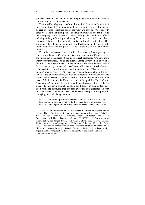between these and their cinematic (non)equivalent: equivalent in terms of story-telling, not of fabula events.<sup>10</sup>

That novel's ambiguity transforms Emma into "one of us," a victim of the combination of "emotional capitalism," on which more below, as we all are; of sexual selfishness and abuse, what we now call "#MeToo." In other words, of the cultural politics of Flaubert's time, as of our time. And the ambiguity binds fiction to reality through the inevitable, affectinducing activity of reading or viewing. These activities make any binary opposition between fiction and reality profoundly untenable. This ambiguity, thus, helps to point out how focalisation in this novel both indicts and transforms the politics of the culture we live in, and Emma lived in.

For this, my second case, I selected a very ordinary passage, a conversation between Charles and his mother concerning Emma's vague and inexplicable malaises. It begins in direct discourse. "Do you know what your wife needs?" asked the older Madame Bovary. "Sais-tu ce qu'il faudrait à ta femme? reprenait la mère Bovary. Ce seraient des occupations forcées, des ouvrages manuels! …―Pourtant elle s'occupe, disait Charles." [She needs to be forced to work—hard, manual work…" "She keeps busy, though," Charles said.] (II, 7) This is a classic quotation including the verb "to say" and quotation marks, as well as an indication of the subject who speaks. Each speaker can be characterised by their discourse: the mother harsh, full of contempt for Emma; the use of the qualifier "forcées" with "occupations" qualifies the mother and her discourse clearly. Charles weakly defends her, which tells us about his difficulty in making decisions. Soon, then, the discourse changes from quotation of a character's speech to a narratorial conclusion. And, while such passages are supposedly clarifying, here, all clarity vanishes.

Donc, il fut résolu que l'on empêcherait Emma de lire des romans. L'entreprise ne semblait point facile. La bonne dame s'en chargea: elle devait quand elle passerait par Rouen, aller en personne chez le loueur de

<sup>&</sup>lt;sup>10</sup> The concept of "theoretical object" was coined by French philosopher and art historian Hubert Damisch, put forward in a conversation with Yve-Alain Bois. See Yve-Alain Bois, Denis Hollier, Rosalind Krauss, and Hubert Damisch, "A Conversation with Hubert Damisch," *October*, 85 (1998): 3-17. For a notion of intermediality, see Jørgen Bruhn, and Anne Gjelsvik, eds., *Cinema Between Media: An Intermediality Approach* (Edinburgh: Edinburgh University Press, 2013). That volume comes from an active research group on intermediality at Linnaeus University in Växjö, Sweden. See for activities and affiliated faculty, https://elmcip.net/organizations/linnaeus-university-centre-intermedial-andmultimodal-studies-ims.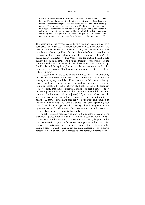#### Mieke Bal 15

livres et lui représenter qu'Emma cessait ses abonnements. N'aurait-on pas le droit d'avertir la police, si le libraire persistait quand même dans son métier d'empoisonneur? [So it was decided to prevent Emma from reading novels. The project presented certain difficulties, but the old lady undertook to carry it out: on her way through Rouen she would personally call on the proprietor of the lending library and tell him that Emma was cancelling her subscription. If he nevertheless persisted in spreading his poison, they would certainly have the right to report him to the police.] (II, 7)

The beginning of the passage seems to be a narrator's summing up, as a conclusive "so" indicates. The second sentence implies a conversation―the hesitant Charles objects it is difficult to do, and the resolute mother promises to solve the problem. But then, the mother's active meddling is rendered in the narrator's discourse, as the descriptive "old lady" ("la bonne dame") indicates. Neither Charles nor the mother herself would qualify her in such terms. And "s'en chargea" ("undertook") is the narrator's verb that characterises her readiness to act, again summing up. But like the verb "carry it out," it can be either the narrator's word choice or her own, as if saying: "don't worry son, you don't have to do anything, I'll carry it out."

The second half of the sentence clearly moves towards the ambiguity of free indirect discourse, however. This is projecting a plan. She was leaving soon anyway, and it is as if we hear her say: "On my way through Rouen, I will call on the proprietor of the lending library and tell him that Emma is cancelling her subscription." The final sentence of the fragment is more clearly free indirect discourse, and it is in fact a double one. It renders a quote within a quote. Imagine what the mother will have said to her son: "I will threaten this man: [quote] 'if you nevertheless persist in spreading your poison, we will surely have the right to report you to the police.'" A narrator could have used the word "threaten" and summed up the rest with something like "with the police." But both "spreading your poison" and "have the right" smack of the angry, intimidating old woman's righteousness, as she will threaten the librarian with conviction and even passion; these are all her thoughts, her words.

The entire passage becomes a mixture of the narrator's discourse, the character's quoted discourse, and free indirect discourse. Why would a novelist structure this passage so confusingly? As I see it, the point of this is to demonstrate the power of meddlers, so important in this novel. Like Homais the nasty pharmacist and the gossiping townsfolk who judge Emma's behaviour and rejoice in her downfall, Madame Bovary senior is herself a poison of sorts. Such phrases as "his poison," meaning novels,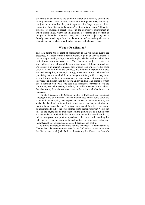can hardly be attributed to the primary narrator of a carefully crafted and proudly presented novel. Instead, the narrator here quotes, freely-indirectly, not just the mother but the *public opinion* of a large segment of the population, from "fiction is dangerous" to "fiction is nonsense." Thus, the structure of embedded speech builds up the oppressive environment in which Emma lives, where the imagination is censored and freedom of thought is forbidden. Realism, here, does not mean objectivity but a fiercely ironic rendering of a real social structure of embedding whatever a character says in clichés; what Flaubert astutely called *idées reçues*.

### **What is Focalization?**

The idea behind the concept of focalisation is that whenever events are presented, it is from within a certain vision. A point of view is chosen, a certain way of seeing things, a certain angle, whether real historical facts or fictitious events are concerned. This slanted or subjective nature of story-telling is inevitable, and denying it constitutes a dubious political act. Objectivity is an attempt to present only what is seen or perceived in some other way. All comments are shunned, and implicit interpretation is also avoided. Perception, however, is strongly dependent on the position of the perceiving body; a small child sees things in a totally different way from an adult, if only as far as measurements are concerned, but also due to the knowledge and experience that inform understanding. The degree to which one is familiar with what one sees also influences perception. We are confronted, not with events, a fabula, but with a *vision* of the fabula. Focalisation is, then, the *relation* between the vision and what is seen or perceived.

The short passage with Charles' mother is translated into cinematic language in the brief moment that the mother sees Emma come down the stairs with, once again, new expensive clothes on. Without words, she shakes her head and looks with utter contempt at her daughter-in-law, so that the latter throws her out. The issue we gleaned from the novel is not, or not simply, to indict the cruel mother but to demonstrate that "looks can kill" as the saying has it; that silent looking participates as a full speech act, the evidence of which is that Emma responds with a speech act that is, indeed, a response to a previous speech act―that look. Understanding this helps us to grasp the complexity and subtlety of language, verbal and (audio)visual, to express disagreement, difference, and hostility.

As a third example, consider the famous sentence: "La conversation de Charles était plate comme un trottoir de rue." [Charles's conversation was flat like a side walk.] (I, 7) It is devastating for Charles in Emma's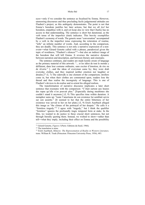### Mieke Bal 17

eyes―only if we consider the sentence as focalised by Emma. However, unmooring discourses and thus precluding facile judgemental attitudes are Flaubert's project, as this ambiguity demonstrates. The point is not that Emma's boredom justifies her later actions, but that we all *feel* her boredom, empathise with it, and yet keep also in view that Charles has no access to that understanding. The sentence is short but durational, as the verb tense of the imperfect (était) indicates. This brevity exemplifies Flaubert's economy of words. The generic noun "conversation" accompanied by a verb in the imperfect tense expressing the reiteration of routine, "tells" an infinite number of words. And, according to the comparison, they are deadly. This sentence is not only a narrative expression of a nonevent―what Gérard Genette called with a phrase, paradoxical given the topic of wordiness, "Flaubert's silences"11―but also an indirect image of the boredom that will kill Emma. It reverses the narrative dynamic between narration and description, and between literary and cinematic.

The sentence continues, and readers are made keenly aware of language as the primary material of this artwork: "... et les idées de tout le monde y défilaient, dans leur costume ordinaire, sans exciter d'émotion, de rire ou de rêverie." […and the ideas of everyman came by; they wore drab everyday clothes, and they inspired neither emotion nor laughter or dreams.<sup>[12</sup> (I, 7) The sidewalk is one element of the comparison; strollers come in, but when their clothes are commented upon, readers lose the thread and thus realise the incongruity of language. This is one of Flaubert's devices to de-realise and re-orient his alleged realism.

The transformation of narrative discourse implicates a later short sentence that resonates with the comparison: "C'était surtout aux heures des repas qu'elle n'en pouvait plus." [Especially during mealtimes she couldn't stand it anymore.] (I, 9) This specifies time within duration. A metaphor sums up: "toute l'amertume de son existence lui semblait servie sur son assiette." [It seemed to her that the entire bitterness of her existence was served to her on her plate.] (I, 9) Erich Auerbach alleged this image as "the climax of the portrayal of her despair." He calls it a "formless tragedy."13 I agree with "tragedy," but I think the qualifier "formless" ignores the profoundly tragic temporal form at stake. In the film, we wanted to do justice to these crucial short sentences, but not through literally quoting them. Instead, we wished to show―rather than tell―what they imply, including their effect on Emma and the possibility

<sup>&</sup>lt;sup>11</sup> Gérard Genette, *Figures I* (Paris: Editions du Seuil, 1966). <sup>12</sup> The translation is mine.

<sup>13</sup> Erich Auerbach, *Mimesis: The Representation of Reality in Western Literature,* trans. William R. Trask (Princeton: Princeton University Press, 1956), 483.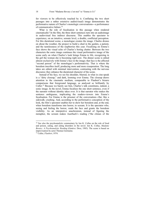for viewers to be effectively touched by it. Conflating the two short passages into a rather extensive audio(visual) image demonstrates the performative nature of Charles's monologic conversations―a performance of communicative failure.14

What is the role of focalisation in this passage when rendered cinematically? In the film, the three short sentences turn into an audioimage in audiovisual free indirect discourse. This enables the spectator to experience, on an intuitive, sensate level, a double, conflicted perception. For this durational scene, a monologue creates the image. Charles drones on about the weather, the project to build a shed in the garden, a patient, and the tastelessness of the raspberries this year. Focalising on Emma's face shows the visual echo of Charles's boring chatter. Between the two characters the sonic image continues the visual performative image of the scene early on when Charles's look brings Emma to life, recognizing in the girl the woman she is becoming right now. The dinner scene is edited almost exclusively with Emma's face in the image; that face is the affected "second person" of the monologue's performativity. That is where the boredom inscribes itself, producing more and more exasperation. The long takes are edited with minimal intervention, contrasting with the nervous discourse; they enhance the durational character of the scene.

Instead of his face, we see his shoulder, blurred, in what in cine-speak is a "dirty closeup," and dark, looming over Emma. The closeup draws attention to the cinematic medium, comparable to Flaubert's bizarre comparisons that foreground language, as analysed so brilliantly by Culler.15 Because we barely see him, Charles's talk constitutes, indeed, a sonic image. In the novel, Emma focalises the one short sentence, even if the narrator without identity takes over. It is that narrator who makes the sentence ambiguous, implicating the readers-viewers into Emma's focalisation. For Emma is the prisoner of the conversation―flat, like a sidewalk; crushing. And, according to the performative conception of the look, the film's spectator enables her to show her boredom and, at the end, when boredom transforms into horror, to scream. It is the spectator who, seeing and feeling the horror, reads the face and grants the boredom visibility. As an interpretive anachronism, instead of figuring the metaphor, the scream makes Auerbach's reading ("the climax of the

<sup>&</sup>lt;sup>14</sup> See also the psychoanalytic commentary by Ion K. Collas on the role of food and poison, eating, and eating disorders in the novel. Ion K. Collas, *Madame Bovary: A Psychoanalytic Reading* (Genève: Droz, 1985). The scene is based on improvisation by actor Thomas Germaine.

<sup>15</sup> Culler, *Flaubert*, 1974.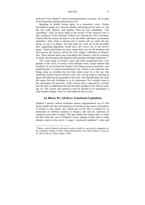portrayal of her despair") and its instantaneousness concrete, not in spite of the durational sentence but because of it.

Speaking of deadly boring topics in a monotone voice, Charles nevertheless speaks on a nervous rhythm, and progressively more so: fast but also with silences, and sighing. Once he says pleadingly: "Say something!" Thus, he gives shape to the anxiety of the character who is also a prisoner of this marriage without exit. Sensing his wife's boredom, Charles fills the silences he knows to be inevitable, and hence accumulates stupidities. Thus, *bêtise* is shared, and, as Emma will say when she lays dying: no one is to blame. The film takes the work out of the moralism that, suggesting judgement, would leave the viewer out of the novel's grasp. Charles and Emma are more united than ever by the boredom, the nervousness, the anxiety, and by the sonic image's reflection on Emma's face. Their infernal union says everything that Flaubert, with his economy of words, did not narrate but implied in the narration, through focalisation.16

The visual image of Emma's more and more exasperated face is the product of the voice, of words, of the dialogue with a single speaker that Flaubert ("la conversation de Charles") has characterised so perfectly―but hyperbolically, in a proto-postmodernist vein. Charles is the character who brings about an invisible, but far from silent event: he is the one who transforms Emma, barely awoken to life, into a living cadaver, entering an agony that takes up the remainder of the story. Her husband does not cause this agony but only facilitates it, as its instrument. The veritable cause is the expectation, the passivity, of the woman who is captured by a system that she fails to understand, but that has been instilled in her from an early age on. This system, that needed to wait for decades to be articulated, is what Flaubert staged. And it is what binds his time to ours.

## **An Illness We All Have: Emotional Capitalism**

Flaubert's special, indeed sometimes almost ungrammatical use of verb tenses renders the idea and experience of routine as the source of boredom. In loyalty to this aspect, the central part of the film is marked by an alternation of different routines in Emma's life and the repetition of sequences from these routines. This part tackles the central topic to which the film shifts the core of Flaubert's novel, making visible what is really already central in the novel. It stages "emotional capitalism"―then and

<sup>&</sup>lt;sup>16</sup> Bêtise, which Flaubert cultivated in order to indict it, can also be contagious, as the moralistic reading of Marc Girard demonstrates. See Marc Girard, *La passion de Charles Bovary* (Paris: Imago, 1995).